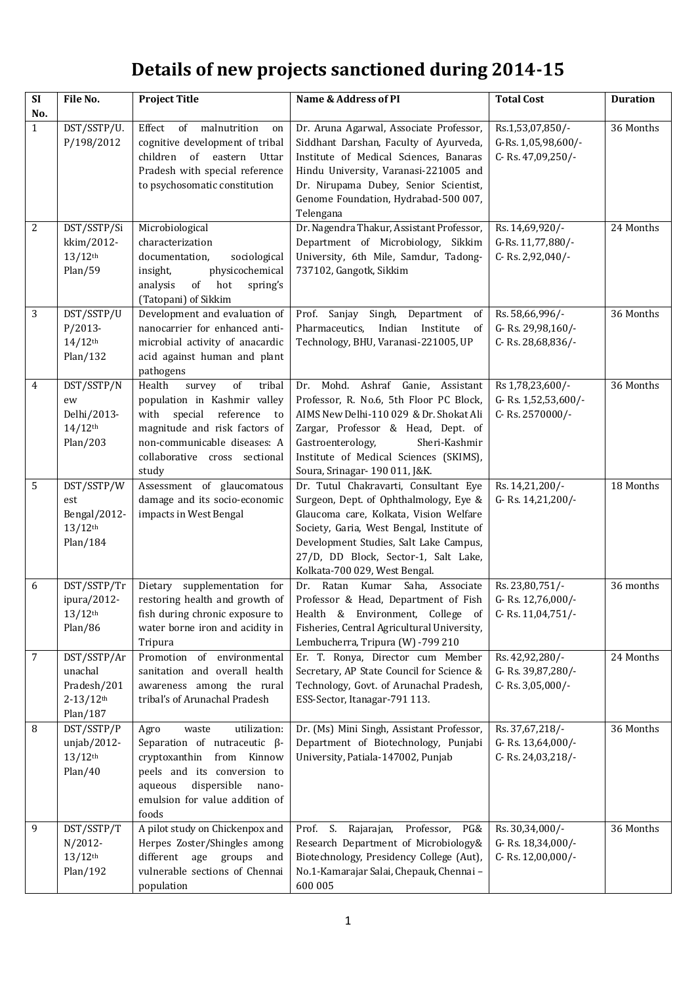## **Details of new projects sanctioned during 2014-15**

| $\overline{\text{SI}}$ | File No.                                                                       | <b>Project Title</b>                                                                                                                                                                                              | Name & Address of PI                                                                                                                                                                                                                                                                      | <b>Total Cost</b>                                            | <b>Duration</b> |
|------------------------|--------------------------------------------------------------------------------|-------------------------------------------------------------------------------------------------------------------------------------------------------------------------------------------------------------------|-------------------------------------------------------------------------------------------------------------------------------------------------------------------------------------------------------------------------------------------------------------------------------------------|--------------------------------------------------------------|-----------------|
| No.<br>$\mathbf{1}$    | DST/SSTP/U.<br>P/198/2012                                                      | of malnutrition<br>Effect<br>on<br>cognitive development of tribal<br>children of eastern<br>Uttar<br>Pradesh with special reference<br>to psychosomatic constitution                                             | Dr. Aruna Agarwal, Associate Professor,<br>Siddhant Darshan, Faculty of Ayurveda,<br>Institute of Medical Sciences, Banaras<br>Hindu University, Varanasi-221005 and<br>Dr. Nirupama Dubey, Senior Scientist,<br>Genome Foundation, Hydrabad-500 007,<br>Telengana                        | Rs.1,53,07,850/-<br>G-Rs. 1,05,98,600/-<br>C-Rs. 47,09,250/- | 36 Months       |
| 2                      | DST/SSTP/Si<br>kkim/2012-<br>$13/12$ <sup>th</sup><br>Plan/59                  | Microbiological<br>characterization<br>documentation,<br>sociological<br>physicochemical<br>insight,<br>analysis<br>of hot<br>spring's<br>(Tatopani) of Sikkim                                                    | Dr. Nagendra Thakur, Assistant Professor,<br>Department of Microbiology, Sikkim<br>University, 6th Mile, Samdur, Tadong-<br>737102, Gangotk, Sikkim                                                                                                                                       | Rs. 14,69,920/-<br>G-Rs. 11,77,880/-<br>C-Rs. 2,92,040/-     | 24 Months       |
| 3                      | DST/SSTP/U<br>$P/2013-$<br>$14/12$ <sup>th</sup><br>Plan/132                   | Development and evaluation of<br>nanocarrier for enhanced anti-<br>microbial activity of anacardic<br>acid against human and plant<br>pathogens                                                                   | Prof. Sanjay Singh,<br>Department<br>of<br>Pharmaceutics,<br>Indian<br>Institute<br>0f<br>Technology, BHU, Varanasi-221005, UP                                                                                                                                                            | Rs. 58,66,996/-<br>G-Rs. 29,98,160/-<br>C-Rs. 28,68,836/-    | 36 Months       |
| 4                      | DST/SSTP/N<br>ew<br>Delhi/2013-<br>$14/12$ <sup>th</sup><br>Plan/203           | Health<br>of<br>tribal<br>survey<br>population in Kashmir valley<br>special<br>reference<br>with<br>to<br>magnitude and risk factors of<br>non-communicable diseases: A<br>collaborative cross sectional<br>study | Dr. Mohd. Ashraf Ganie, Assistant<br>Professor, R. No.6, 5th Floor PC Block,<br>AIMS New Delhi-110 029 & Dr. Shokat Ali<br>Zargar, Professor & Head, Dept. of<br>Sheri-Kashmir<br>Gastroenterology,<br>Institute of Medical Sciences (SKIMS),<br>Soura, Srinagar- 190 011, J&K.           | Rs 1,78,23,600/-<br>G-Rs. 1,52,53,600/-<br>C-Rs. 2570000/-   | 36 Months       |
| 5                      | DST/SSTP/W<br>est<br>Bengal/2012-<br>$13/12$ <sup>th</sup><br>Plan/184         | Assessment of glaucomatous<br>damage and its socio-economic<br>impacts in West Bengal                                                                                                                             | Dr. Tutul Chakravarti, Consultant Eye<br>Surgeon, Dept. of Ophthalmology, Eye &<br>Glaucoma care, Kolkata, Vision Welfare<br>Society, Garia, West Bengal, Institute of<br>Development Studies, Salt Lake Campus,<br>27/D, DD Block, Sector-1, Salt Lake,<br>Kolkata-700 029, West Bengal. | Rs. 14,21,200/-<br>G-Rs. 14,21,200/-                         | 18 Months       |
| 6                      | DST/SSTP/Tr<br>ipura/2012-<br>$13/12$ <sup>th</sup><br>Plan/86                 | Dietary supplementation for<br>restoring health and growth of<br>fish during chronic exposure to<br>water borne iron and acidity in<br>Tripura                                                                    | Dr. Ratan Kumar Saha, Associate<br>Professor & Head, Department of Fish<br>Health & Environment, College of<br>Fisheries, Central Agricultural University,<br>Lembucherra, Tripura (W) -799 210                                                                                           | Rs. 23,80,751/-<br>G-Rs. 12,76,000/-<br>C-Rs. 11,04,751/-    | 36 months       |
| 7                      | DST/SSTP/Ar<br>unachal<br>Pradesh/201<br>$2 - 13/12$ <sup>th</sup><br>Plan/187 | Promotion of environmental<br>sanitation and overall health<br>awareness among the rural<br>tribal's of Arunachal Pradesh                                                                                         | Er. T. Ronya, Director cum Member<br>Secretary, AP State Council for Science &<br>Technology, Govt. of Arunachal Pradesh,<br>ESS-Sector, Itanagar-791 113.                                                                                                                                | Rs. 42,92,280/-<br>G-Rs. 39,87,280/-<br>C-Rs. 3,05,000/-     | 24 Months       |
| 8                      | DST/SSTP/P<br>unjab/2012-<br>$13/12$ <sup>th</sup><br>Plan/40                  | utilization:<br>Agro<br>waste<br>Separation of nutraceutic $\beta$ -<br>cryptoxanthin<br>from Kinnow<br>peels and its conversion to<br>dispersible<br>aqueous<br>nano-<br>emulsion for value addition of<br>foods | Dr. (Ms) Mini Singh, Assistant Professor,<br>Department of Biotechnology, Punjabi<br>University, Patiala-147002, Punjab                                                                                                                                                                   | Rs. 37,67,218/-<br>G-Rs. 13,64,000/-<br>C-Rs. 24,03,218/-    | 36 Months       |
| 9                      | DST/SSTP/T<br>N/2012-<br>$13/12$ <sup>th</sup><br>Plan/192                     | A pilot study on Chickenpox and<br>Herpes Zoster/Shingles among<br>different age groups and<br>vulnerable sections of Chennai<br>population                                                                       | Prof. S.<br>Rajarajan,<br>Professor,<br>PG&<br>Research Department of Microbiology&<br>Biotechnology, Presidency College (Aut),<br>No.1-Kamarajar Salai, Chepauk, Chennai -<br>600 005                                                                                                    | Rs. 30,34,000/-<br>G-Rs. 18,34,000/-<br>C-Rs. 12,00,000/-    | 36 Months       |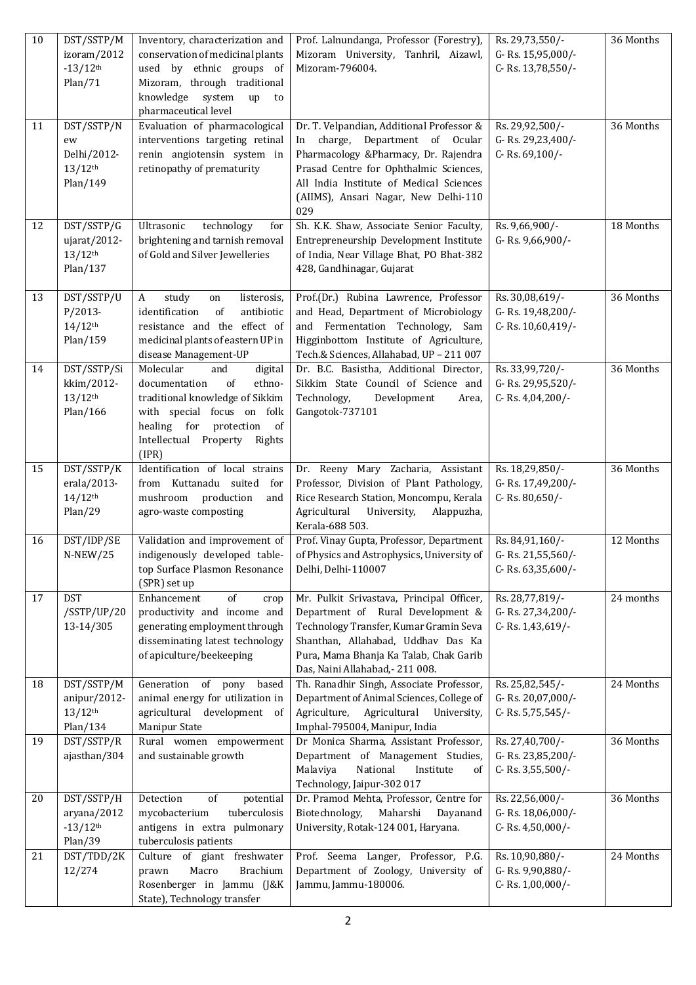| 10 | DST/SSTP/M<br>izoram/2012<br>$-13/12$ <sup>th</sup><br>Plan/71       | Inventory, characterization and<br>conservation of medicinal plants<br>used by ethnic groups of<br>Mizoram, through traditional<br>knowledge<br>system<br>up<br>to<br>pharmaceutical level                        | Prof. Lalnundanga, Professor (Forestry),<br>Mizoram University, Tanhril, Aizawl,<br>Mizoram-796004.                                                                                                                                                         | Rs. 29,73,550/-<br>G-Rs. 15,95,000/-<br>C-Rs. 13,78,550/- | 36 Months |
|----|----------------------------------------------------------------------|-------------------------------------------------------------------------------------------------------------------------------------------------------------------------------------------------------------------|-------------------------------------------------------------------------------------------------------------------------------------------------------------------------------------------------------------------------------------------------------------|-----------------------------------------------------------|-----------|
| 11 | DST/SSTP/N<br>ew<br>Delhi/2012-<br>$13/12$ <sup>th</sup><br>Plan/149 | Evaluation of pharmacological<br>interventions targeting retinal<br>renin angiotensin system in<br>retinopathy of prematurity                                                                                     | Dr. T. Velpandian, Additional Professor &<br>charge, Department of Ocular<br>In<br>Pharmacology &Pharmacy, Dr. Rajendra<br>Prasad Centre for Ophthalmic Sciences,<br>All India Institute of Medical Sciences<br>(AIIMS), Ansari Nagar, New Delhi-110<br>029 | Rs. 29,92,500/-<br>G-Rs. 29,23,400/-<br>C-Rs. 69,100/-    | 36 Months |
| 12 | DST/SSTP/G<br>ujarat/2012-<br>$13/12$ <sup>th</sup><br>Plan/137      | Ultrasonic<br>technology<br>for<br>brightening and tarnish removal<br>of Gold and Silver Jewelleries                                                                                                              | Sh. K.K. Shaw, Associate Senior Faculty,<br>Entrepreneurship Development Institute<br>of India, Near Village Bhat, PO Bhat-382<br>428, Gandhinagar, Gujarat                                                                                                 | Rs. 9,66,900/-<br>G-Rs. 9,66,900/-                        | 18 Months |
| 13 | DST/SSTP/U<br>$P/2013-$<br>$14/12$ <sup>th</sup><br>Plan/159         | study<br>listerosis,<br>A<br>on<br>identification<br>of<br>antibiotic<br>resistance and the effect of<br>medicinal plants of eastern UP in<br>disease Management-UP                                               | Prof.(Dr.) Rubina Lawrence, Professor<br>and Head, Department of Microbiology<br>and Fermentation Technology, Sam<br>Higginbottom Institute of Agriculture,<br>Tech.& Sciences, Allahabad, UP - 211 007                                                     | Rs. 30,08,619/-<br>G-Rs. 19,48,200/-<br>C-Rs. 10,60,419/- | 36 Months |
| 14 | DST/SSTP/Si<br>kkim/2012-<br>$13/12$ <sup>th</sup><br>Plan/166       | digital<br>Molecular<br>and<br>of<br>ethno-<br>documentation<br>traditional knowledge of Sikkim<br>with special focus on folk<br>healing for protection<br><sub>of</sub><br>Intellectual Property Rights<br>(IPR) | Dr. B.C. Basistha, Additional Director,<br>Sikkim State Council of Science and<br>Technology,<br>Development<br>Area,<br>Gangotok-737101                                                                                                                    | Rs. 33,99,720/-<br>G-Rs. 29,95,520/-<br>C-Rs. 4,04,200/-  | 36 Months |
| 15 | DST/SSTP/K<br>erala/2013-<br>$14/12$ <sup>th</sup><br>Plan/29        | Identification of local strains<br>from Kuttanadu suited for<br>mushroom<br>production<br>and<br>agro-waste composting                                                                                            | Dr. Reeny Mary Zacharia, Assistant<br>Professor, Division of Plant Pathology,<br>Rice Research Station, Moncompu, Kerala<br>Agricultural<br>University,<br>Alappuzha,<br>Kerala-688 503.                                                                    | Rs. 18,29,850/-<br>G-Rs. 17,49,200/-<br>C-Rs. 80,650/-    | 36 Months |
| 16 | DST/IDP/SE<br>$N-NEW/25$                                             | Validation and improvement of<br>indigenously developed table-<br>top Surface Plasmon Resonance<br>(SPR) set up                                                                                                   | Prof. Vinay Gupta, Professor, Department<br>of Physics and Astrophysics, University of<br>Delhi, Delhi-110007                                                                                                                                               | Rs. 84,91,160/-<br>G-Rs. 21,55,560/-<br>C-Rs. 63,35,600/- | 12 Months |
| 17 | <b>DST</b><br>/SSTP/UP/20<br>13-14/305                               | Enhancement<br>of<br>crop<br>productivity and income and<br>generating employment through<br>disseminating latest technology<br>of apiculture/beekeeping                                                          | Mr. Pulkit Srivastava, Principal Officer,<br>Department of Rural Development &<br>Technology Transfer, Kumar Gramin Seva<br>Shanthan, Allahabad, Uddhav Das Ka<br>Pura, Mama Bhanja Ka Talab, Chak Garib<br>Das, Naini Allahabad, - 211 008.                | Rs. 28,77,819/-<br>G-Rs. 27,34,200/-<br>C-Rs. 1,43,619/-  | 24 months |
| 18 | DST/SSTP/M<br>anipur/2012-<br>$13/12$ <sup>th</sup><br>Plan/134      | Generation of pony<br>based<br>animal energy for utilization in<br>agricultural development<br>0f<br>Manipur State                                                                                                | Th. Ranadhir Singh, Associate Professor,<br>Department of Animal Sciences, College of<br>Agriculture,<br>Agricultural<br>University,<br>Imphal-795004, Manipur, India                                                                                       | Rs. 25,82,545/-<br>G-Rs. 20,07,000/-<br>C-Rs. 5,75,545/-  | 24 Months |
| 19 | DST/SSTP/R<br>ajasthan/304                                           | Rural women empowerment<br>and sustainable growth                                                                                                                                                                 | Dr Monica Sharma, Assistant Professor,<br>Department of Management Studies,<br>National<br>Malaviya<br>Institute<br>of<br>Technology, Jaipur-302 017                                                                                                        | Rs. 27,40,700/-<br>G-Rs. 23,85,200/-<br>C-Rs. 3,55,500/-  | 36 Months |
| 20 | DST/SSTP/H<br>aryana/2012<br>$-13/12$ <sup>th</sup><br>Plan/39       | Detection<br>$\sigma f$<br>potential<br>tuberculosis<br>mycobacterium<br>antigens in extra pulmonary<br>tuberculosis patients                                                                                     | Dr. Pramod Mehta, Professor, Centre for<br>Biotechnology,<br>Maharshi<br>Dayanand<br>University, Rotak-124 001, Haryana.                                                                                                                                    | Rs. 22,56,000/-<br>G-Rs. 18,06,000/-<br>C-Rs. 4,50,000/-  | 36 Months |
| 21 | DST/TDD/2K<br>12/274                                                 | Culture of giant freshwater<br>Macro<br><b>Brachium</b><br>prawn<br>Rosenberger in Jammu (J&K<br>State), Technology transfer                                                                                      | Prof. Seema Langer, Professor, P.G.<br>Department of Zoology, University of<br>Jammu, Jammu-180006.                                                                                                                                                         | Rs. 10,90,880/-<br>G-Rs. 9,90,880/-<br>C-Rs. 1,00,000/-   | 24 Months |